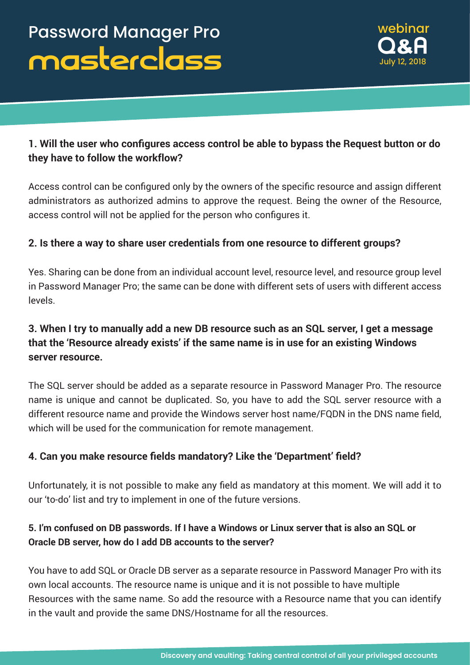

# **1. Will the user who configures access control be able to bypass the Request button or do they have to follow the workflow?**

Access control can be configured only by the owners of the specific resource and assign different administrators as authorized admins to approve the request. Being the owner of the Resource, access control will not be applied for the person who configures it.

### **2. Is there a way to share user credentials from one resource to different groups?**

Yes. Sharing can be done from an individual account level, resource level, and resource group level in Password Manager Pro; the same can be done with different sets of users with different access levels.

# **3. When I try to manually add a new DB resource such as an SQL server, I get a message that the 'Resource already exists' if the same name is in use for an existing Windows server resource.**

The SQL server should be added as a separate resource in Password Manager Pro. The resource name is unique and cannot be duplicated. So, you have to add the SQL server resource with a different resource name and provide the Windows server host name/FQDN in the DNS name field, which will be used for the communication for remote management.

## **4. Can you make resource fields mandatory? Like the 'Department' field?**

Unfortunately, it is not possible to make any field as mandatory at this moment. We will add it to our 'to-do' list and try to implement in one of the future versions.

## 5. I'm confused on DB passwords. If I have a Windows or Linux server that is also an SQL or **Oracle DB server, how do I add DB accounts to the server?**

You have to add SQL or Oracle DB server as a separate resource in Password Manager Pro with its own local accounts. The resource name is unique and it is not possible to have multiple Resources with the same name. So add the resource with a Resource name that you can identify in the vault and provide the same DNS/Hostname for all the resources.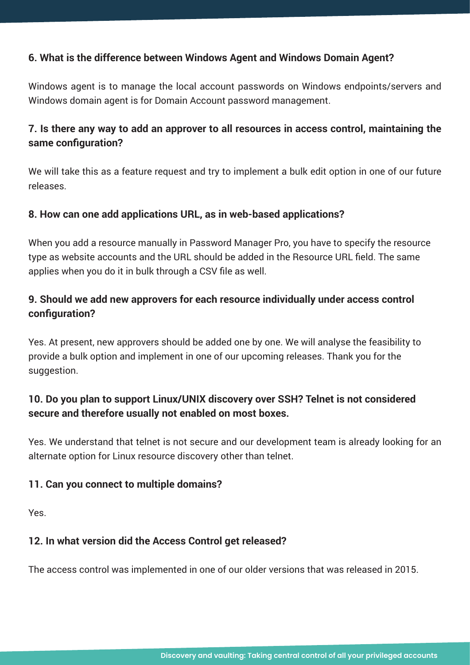### **6. What is the difference between Windows Agent and Windows Domain Agent?**

Windows agent is to manage the local account passwords on Windows endpoints/servers and Windows domain agent is for Domain Account password management.

## **7. Is there any way to add an approver to all resources in access control, maintaining the same configuration?**

We will take this as a feature request and try to implement a bulk edit option in one of our future releases.

### **8. How can one add applications URL, as in web-based applications?**

When you add a resource manually in Password Manager Pro, you have to specify the resource type as website accounts and the URL should be added in the Resource URL field. The same applies when you do it in bulk through a CSV file as well.

# **9. Should we add new approvers for each resource individually under access control configuration?**

Yes. At present, new approvers should be added one by one. We will analyse the feasibility to provide a bulk option and implement in one of our upcoming releases. Thank you for the suggestion.

# **10. Do you plan to support Linux/UNIX discovery over SSH? Telnet is not considered secure and therefore usually not enabled on most boxes.**

Yes. We understand that telnet is not secure and our development team is already looking for an alternate option for Linux resource discovery other than telnet.

### **11. Can you connect to multiple domains?**

Yes.

## **12. In what version did the Access Control get released?**

The access control was implemented in one of our older versions that was released in 2015.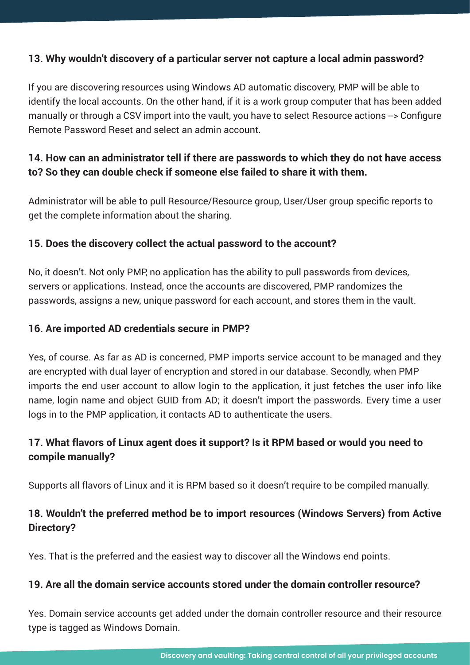### **13. Why wouldn't discovery of a particular server not capture a local admin password?**

If you are discovering resources using Windows AD automatic discovery, PMP will be able to identify the local accounts. On the other hand, if it is a work group computer that has been added manually or through a CSV import into the vault, you have to select Resource actions --> Configure Remote Password Reset and select an admin account.

# **14. How can an administrator tell if there are passwords to which they do not have access to? So they can double check if someone else failed to share it with them.**

Administrator will be able to pull Resource/Resource group, User/User group specific reports to get the complete information about the sharing.

### **15. Does the discovery collect the actual password to the account?**

No, it doesn't. Not only PMP, no application has the ability to pull passwords from devices, servers or applications. Instead, once the accounts are discovered, PMP randomizes the passwords, assigns a new, unique password for each account, and stores them in the vault.

### **16. Are imported AD credentials secure in PMP?**

Yes, of course. As far as AD is concerned, PMP imports service account to be managed and they are encrypted with dual layer of encryption and stored in our database. Secondly, when PMP imports the end user account to allow login to the application, it just fetches the user info like name, login name and object GUID from AD; it doesn't import the passwords. Every time a user logs in to the PMP application, it contacts AD to authenticate the users.

# **17. What flavors of Linux agent does it support? Is it RPM based or would you need to compile manually?**

Supports all flavors of Linux and it is RPM based so it doesn't require to be compiled manually.

# **18. Wouldn't the preferred method be to import resources (Windows Servers) from Active Directory?**

Yes. That is the preferred and the easiest way to discover all the Windows end points.

### **19. Are all the domain service accounts stored under the domain controller resource?**

Yes. Domain service accounts get added under the domain controller resource and their resource type is tagged as Windows Domain.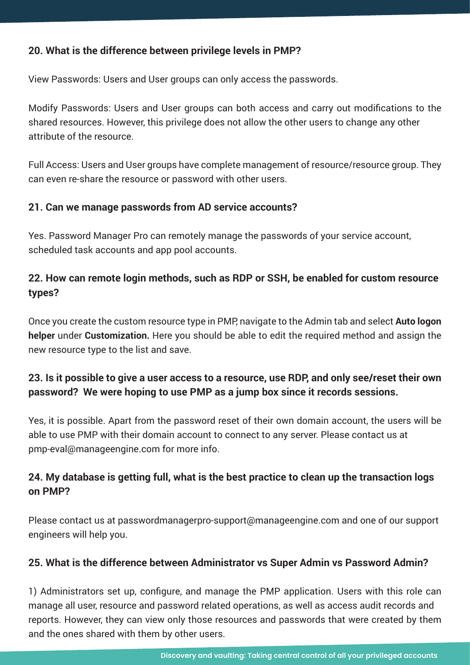### **20. What is the difference between privilege levels in PMP?**

View Passwords: Users and User groups can only access the passwords.

Modify Passwords: Users and User groups can both access and carry out modifications to the shared resources. However, this privilege does not allow the other users to change any other attribute of the resource.

Full Access: Users and User groups have complete management of resource/resource group. They can even re-share the resource or password with other users.

### **21. Can we manage passwords from AD service accounts?**

Yes. Password Manager Pro can remotely manage the passwords of your service account, scheduled task accounts and app pool accounts.

# **22. How can remote login methods, such as RDP or SSH, be enabled for custom resource types?**

Once you create the custom resource type in PMP, navigate to the Admin tab and select **Auto logon helper** under **Customization.** Here you should be able to edit the required method and assign the new resource type to the list and save.

# 23. Is it possible to give a user access to a resource, use RDP, and only see/reset their own **password? We were hoping to use PMP as a jump box since it records sessions.**

Yes, it is possible. Apart from the password reset of their own domain account, the users will be able to use PMP with their domain account to connect to any server. Please contact us at pmp-eval@manageengine.com for more info.

# **24. My database is getting full, what is the best practice to clean up the transaction logs on PMP?**

Please contact us at passwordmanagerpro-support@manageengine.com and one of our support engineers will help you.

### **25. What is the difference between Administrator vs Super Admin vs Password Admin?**

1) Administrators set up, configure, and manage the PMP application. Users with this role can manage all user, resource and password related operations, as well as access audit records and reports. However, they can view only those resources and passwords that were created by them and the ones shared with them by other users.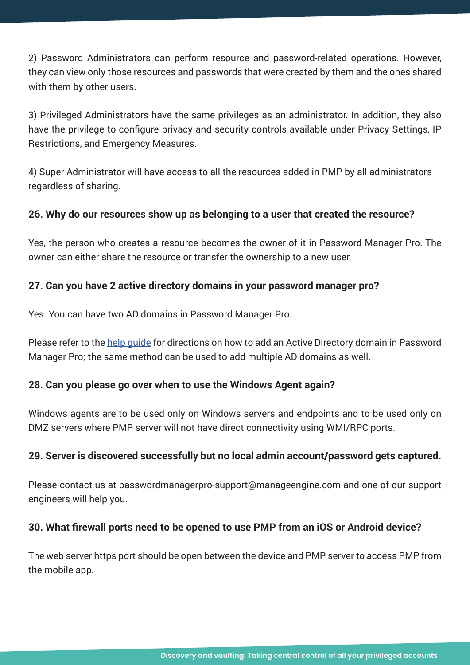2) Password Administrators can perform resource and password-related operations. However, they can view only those resources and passwords that were created by them and the ones shared with them by other users.

3) Privileged Administrators have the same privileges as an administrator. In addition, they also have the privilege to configure privacy and security controls available under Privacy Settings, IP Restrictions, and Emergency Measures.

4) Super Administrator will have access to all the resources added in PMP by all administrators regardless of sharing.

### **26. Why do our resources show up as belonging to a user that created the resource?**

Yes, the person who creates a resource becomes the owner of it in Password Manager Pro. The owner can either share the resource or transfer the ownership to a new user.

### **27. Can you have 2 active directory domains in your password manager pro?**

Yes. You can have two AD domains in Password Manager Pro.

Please refer to the [help guide](https://www.manageengine.com/products/passwordmanagerpro/help/active_directory_integration.html) for directions on how to add an Active Directory domain in Password Manager Pro; the same method can be used to add multiple AD domains as well.

### **28. Can you please go over when to use the Windows Agent again?**

Windows agents are to be used only on Windows servers and endpoints and to be used only on DMZ servers where PMP server will not have direct connectivity using WMI/RPC ports.

### **29. Server is discovered successfully but no local admin account/password gets captured.**

Please contact us at passwordmanagerpro-support@manageengine.com and one of our support engineers will help you.

## **30. What firewall ports need to be opened to use PMP from an iOS or Android device?**

The web server https port should be open between the device and PMP server to access PMP from the mobile app.